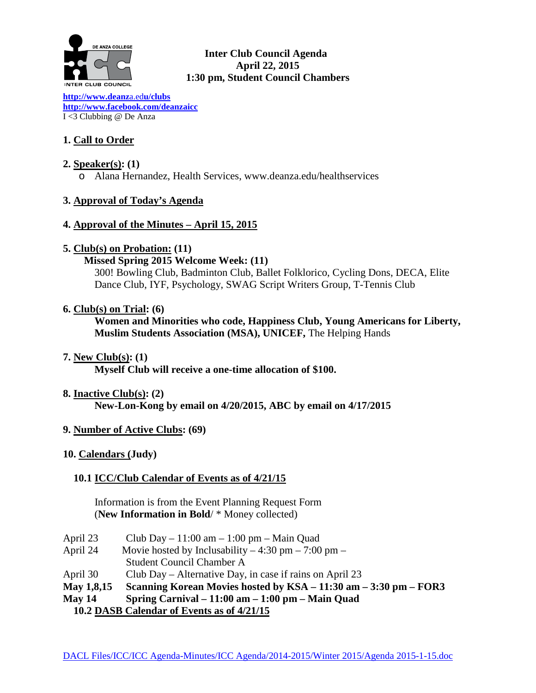

## **Inter Club Council Agenda April 22, 2015 1:30 pm, Student Council Chambers**

**[http://www.deanz](http://www.deanza.edu/clubs)**a.ed**u/clubs [http://www.facebook.com/deanzaicc](http://www.facebook.com/home.php%23!/group.php?gid=59034552686)** I <3 Clubbing @ De Anza

## **1. Call to Order**

## **2. Speaker(s): (1)**

o Alana Hernandez, Health Services, www.deanza.edu/healthservices

## **3. Approval of Today's Agenda**

#### **4. Approval of the Minutes – April 15, 2015**

## **5. Club(s) on Probation: (11)**

#### **Missed Spring 2015 Welcome Week: (11)**

300! Bowling Club, Badminton Club, Ballet Folklorico, Cycling Dons, DECA, Elite Dance Club, IYF, Psychology, SWAG Script Writers Group, T-Tennis Club

## **6. Club(s) on Trial: (6)**

**Women and Minorities who code, Happiness Club, Young Americans for Liberty, Muslim Students Association (MSA), UNICEF,** The Helping Hands

**7. New Club(s): (1)**

**Myself Club will receive a one-time allocation of \$100.**

#### **8. Inactive Club(s): (2)**

**New-Lon-Kong by email on 4/20/2015, ABC by email on 4/17/2015**

#### **9. Number of Active Clubs: (69)**

#### **10. Calendars (Judy)**

## **10.1 ICC/Club Calendar of Events as of 4/21/15**

 Information is from the Event Planning Request Form (**New Information in Bold**/ \* Money collected)

- April 23 Club Day 11:00 am 1:00 pm Main Quad
- April 24 Movie hosted by Inclusability  $-4:30 \text{ pm} 7:00 \text{ pm} -$ Student Council Chamber A
- April 30 Club Day Alternative Day, in case if rains on April 23
- **May 1,8,15 Scanning Korean Movies hosted by KSA – 11:30 am – 3:30 pm – FOR3**
- **May 14 Spring Carnival – 11:00 am – 1:00 pm – Main Quad**
	- **10.2 DASB Calendar of Events as of 4/21/15**